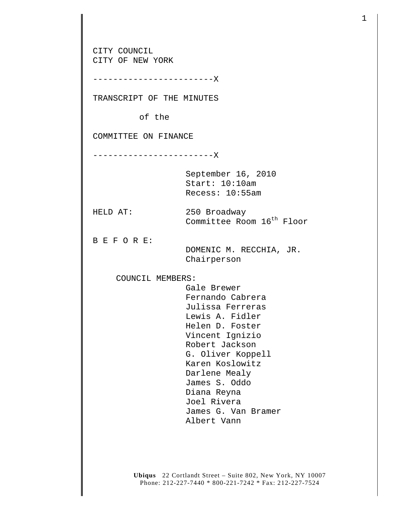CITY COUNCIL CITY OF NEW YORK ------------------------X TRANSCRIPT OF THE MINUTES of the COMMITTEE ON FINANCE ------------------------X September 16, 2010 Start: 10:10am Recess: 10:55am HELD AT: 250 Broadway Committee Room 16<sup>th</sup> Floor B E F O R E: DOMENIC M. RECCHIA, JR. Chairperson COUNCIL MEMBERS: Gale Brewer Fernando Cabrera Julissa Ferreras Lewis A. Fidler Helen D. Foster Vincent Ignizio Robert Jackson G. Oliver Koppell Karen Koslowitz Darlene Mealy James S. Oddo Diana Reyna Joel Rivera James G. Van Bramer Albert Vann

1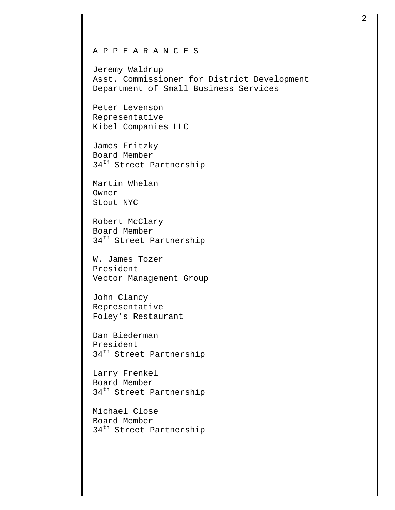## A P P E A R A N C E S

Jeremy Waldrup Asst. Commissioner for District Development Department of Small Business Services

Peter Levenson Representative Kibel Companies LLC

James Fritzky Board Member 34<sup>th</sup> Street Partnership

Martin Whelan Owner Stout NYC

Robert McClary Board Member 34<sup>th</sup> Street Partnership

W. James Tozer President Vector Management Group

John Clancy Representative Foley's Restaurant

Dan Biederman President 34<sup>th</sup> Street Partnership

Larry Frenkel Board Member 34<sup>th</sup> Street Partnership

Michael Close Board Member 34<sup>th</sup> Street Partnership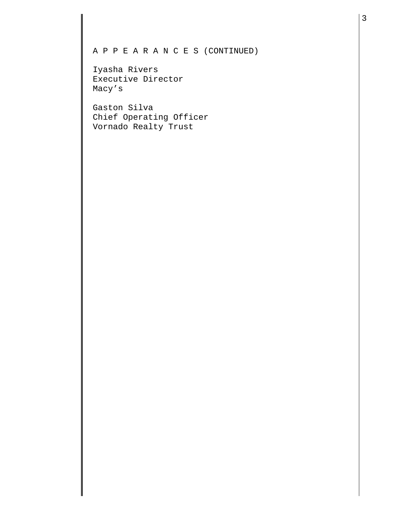## A P P E A R A N C E S (CONTINUED)

Iyasha Rivers Executive Director Macy's

Gaston Silva Chief Operating Officer Vornado Realty Trust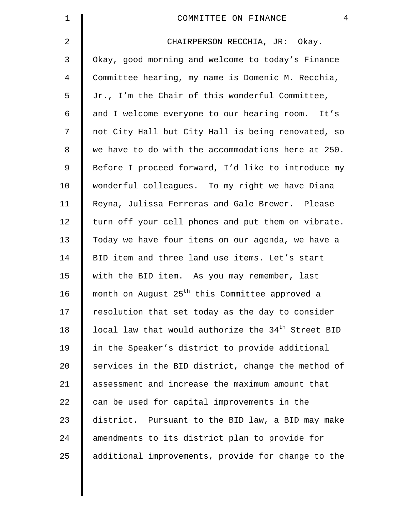| $\mathbf 1$    | $\overline{4}$<br>COMMITTEE ON FINANCE                         |
|----------------|----------------------------------------------------------------|
| $\overline{2}$ | CHAIRPERSON RECCHIA, JR: Okay.                                 |
| 3              | Okay, good morning and welcome to today's Finance              |
| $\overline{4}$ | Committee hearing, my name is Domenic M. Recchia,              |
| 5              | Jr., I'm the Chair of this wonderful Committee,                |
| 6              | and I welcome everyone to our hearing room. It's               |
| 7              | not City Hall but City Hall is being renovated, so             |
| 8              | we have to do with the accommodations here at 250.             |
| $\mathfrak{g}$ | Before I proceed forward, I'd like to introduce my             |
| 10             | wonderful colleagues. To my right we have Diana                |
| 11             | Reyna, Julissa Ferreras and Gale Brewer. Please                |
| 12             | turn off your cell phones and put them on vibrate.             |
| 13             | Today we have four items on our agenda, we have a              |
| 14             | BID item and three land use items. Let's start                 |
| 15             | with the BID item. As you may remember, last                   |
| 16             | month on August 25 <sup>th</sup> this Committee approved a     |
| 17             | resolution that set today as the day to consider               |
| 18             | local law that would authorize the 34 <sup>th</sup> Street BID |
| 19             | in the Speaker's district to provide additional                |
| 20             | services in the BID district, change the method of             |
| 21             | assessment and increase the maximum amount that                |
| 22             | can be used for capital improvements in the                    |
| 23             | district. Pursuant to the BID law, a BID may make              |
| 24             | amendments to its district plan to provide for                 |
| 25             | additional improvements, provide for change to the             |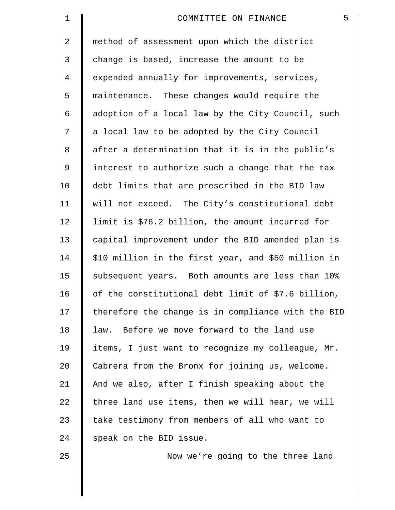| $\mathbf 1$ | 5<br>COMMITTEE ON FINANCE                           |
|-------------|-----------------------------------------------------|
| 2           | method of assessment upon which the district        |
| 3           | change is based, increase the amount to be          |
| 4           | expended annually for improvements, services,       |
| 5           | maintenance. These changes would require the        |
| 6           | adoption of a local law by the City Council, such   |
| 7           | a local law to be adopted by the City Council       |
| 8           | after a determination that it is in the public's    |
| 9           | interest to authorize such a change that the tax    |
| 10          | debt limits that are prescribed in the BID law      |
| 11          | will not exceed. The City's constitutional debt     |
| 12          | limit is \$76.2 billion, the amount incurred for    |
| 13          | capital improvement under the BID amended plan is   |
| 14          | \$10 million in the first year, and \$50 million in |
| 15          | subsequent years. Both amounts are less than 10%    |
| 16          | of the constitutional debt limit of \$7.6 billion,  |
| 17          | therefore the change is in compliance with the BID  |
| 18          | law. Before we move forward to the land use         |
| 19          | items, I just want to recognize my colleague, Mr.   |
| 20          | Cabrera from the Bronx for joining us, welcome.     |
| 21          | And we also, after I finish speaking about the      |
| 22          | three land use items, then we will hear, we will    |
| 23          | take testimony from members of all who want to      |
| 24          | speak on the BID issue.                             |
| 25          | Now we're going to the three land                   |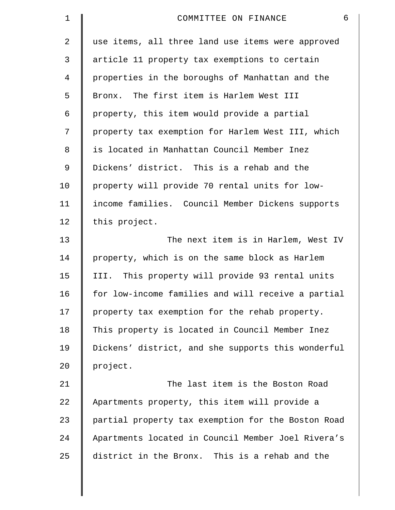| $\mathbf 1$    | 6<br>COMMITTEE ON FINANCE                          |
|----------------|----------------------------------------------------|
| $\overline{2}$ | use items, all three land use items were approved  |
| 3              | article 11 property tax exemptions to certain      |
| 4              | properties in the boroughs of Manhattan and the    |
| 5              | Bronx. The first item is Harlem West III           |
| 6              | property, this item would provide a partial        |
| 7              | property tax exemption for Harlem West III, which  |
| 8              | is located in Manhattan Council Member Inez        |
| 9              | Dickens' district. This is a rehab and the         |
| 10             | property will provide 70 rental units for low-     |
| 11             | income families. Council Member Dickens supports   |
| 12             | this project.                                      |
| 13             | The next item is in Harlem, West IV                |
| 14             | property, which is on the same block as Harlem     |
| 15             | III. This property will provide 93 rental units    |
| 16             | for low-income families and will receive a partial |
| 17             | property tax exemption for the rehab property.     |
| 18             | This property is located in Council Member Inez    |
| 19             | Dickens' district, and she supports this wonderful |
| 20             | project.                                           |
| 21             | The last item is the Boston Road                   |
| 22             | Apartments property, this item will provide a      |
| 23             | partial property tax exemption for the Boston Road |
| 24             | Apartments located in Council Member Joel Rivera's |
| 25             | district in the Bronx. This is a rehab and the     |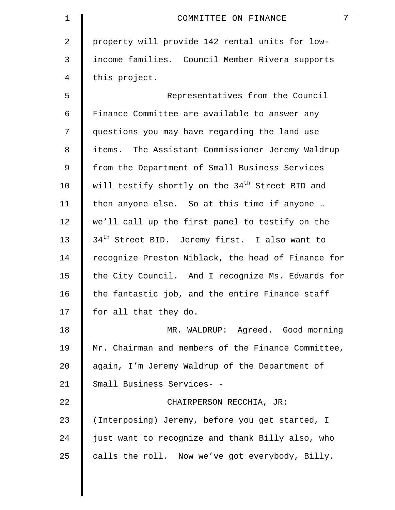| 1  | $7\overline{ }$<br>COMMITTEE ON FINANCE                     |
|----|-------------------------------------------------------------|
| 2  | property will provide 142 rental units for low-             |
| 3  | income families. Council Member Rivera supports             |
| 4  | this project.                                               |
| 5  | Representatives from the Council                            |
| 6  | Finance Committee are available to answer any               |
| 7  | questions you may have regarding the land use               |
| 8  | items. The Assistant Commissioner Jeremy Waldrup            |
| 9  | from the Department of Small Business Services              |
| 10 | will testify shortly on the 34 <sup>th</sup> Street BID and |
| 11 | then anyone else. So at this time if anyone                 |
| 12 | we'll call up the first panel to testify on the             |
| 13 | 34 <sup>th</sup> Street BID. Jeremy first. I also want to   |
| 14 | recognize Preston Niblack, the head of Finance for          |
| 15 | the City Council. And I recognize Ms. Edwards for           |
| 16 | the fantastic job, and the entire Finance staff             |
| 17 | for all that they do.                                       |
| 18 | MR. WALDRUP: Agreed. Good morning                           |
| 19 | Mr. Chairman and members of the Finance Committee,          |
| 20 | again, I'm Jeremy Waldrup of the Department of              |
| 21 | Small Business Services- -                                  |
| 22 | CHAIRPERSON RECCHIA, JR:                                    |
| 23 | (Interposing) Jeremy, before you get started, I             |
| 24 | just want to recognize and thank Billy also, who            |
| 25 | calls the roll. Now we've got everybody, Billy.             |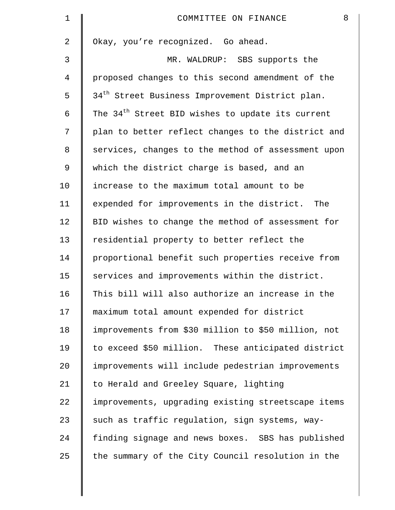| $\mathbf 1$ | 8<br>COMMITTEE ON FINANCE                                    |
|-------------|--------------------------------------------------------------|
| 2           | Okay, you're recognized. Go ahead.                           |
| 3           | MR. WALDRUP: SBS supports the                                |
| 4           | proposed changes to this second amendment of the             |
| 5           | 34 <sup>th</sup> Street Business Improvement District plan.  |
| 6           | The 34 <sup>th</sup> Street BID wishes to update its current |
| 7           | plan to better reflect changes to the district and           |
| 8           | services, changes to the method of assessment upon           |
| 9           | which the district charge is based, and an                   |
| 10          | increase to the maximum total amount to be                   |
| 11          | expended for improvements in the district.<br>The            |
| 12          | BID wishes to change the method of assessment for            |
| 13          | residential property to better reflect the                   |
| 14          | proportional benefit such properties receive from            |
| 15          | services and improvements within the district.               |
| 16          | This bill will also authorize an increase in the             |
| 17          | maximum total amount expended for district                   |
| 18          | improvements from \$30 million to \$50 million, not          |
| 19          | to exceed \$50 million. These anticipated district           |
| 20          | improvements will include pedestrian improvements            |
| 21          | to Herald and Greeley Square, lighting                       |
| 22          | improvements, upgrading existing streetscape items           |
| 23          | such as traffic regulation, sign systems, way-               |
| 24          | finding signage and news boxes. SBS has published            |
| 25          | the summary of the City Council resolution in the            |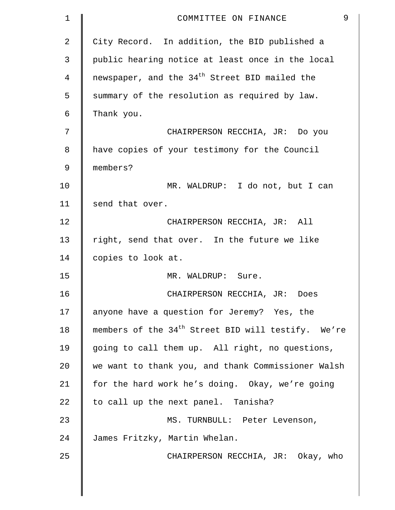| $\mathbf 1$    | 9<br>COMMITTEE ON FINANCE                                      |
|----------------|----------------------------------------------------------------|
| $\overline{2}$ | City Record. In addition, the BID published a                  |
| 3              | public hearing notice at least once in the local               |
| 4              | newspaper, and the 34 <sup>th</sup> Street BID mailed the      |
| 5              | summary of the resolution as required by law.                  |
| 6              | Thank you.                                                     |
| 7              | CHAIRPERSON RECCHIA, JR: Do you                                |
| 8              | have copies of your testimony for the Council                  |
| 9              | members?                                                       |
| 10             | MR. WALDRUP: I do not, but I can                               |
| 11             | send that over.                                                |
| 12             | CHAIRPERSON RECCHIA, JR: All                                   |
| 13             | right, send that over. In the future we like                   |
| 14             | copies to look at.                                             |
| 15             | MR. WALDRUP: Sure.                                             |
| 16             | CHAIRPERSON RECCHIA, JR: Does                                  |
| 17             | anyone have a question for Jeremy? Yes, the                    |
| 18             | members of the 34 <sup>th</sup> Street BID will testify. We're |
| 19             | going to call them up. All right, no questions,                |
| 20             | we want to thank you, and thank Commissioner Walsh             |
| 21             | for the hard work he's doing. Okay, we're going                |
| 22             | to call up the next panel. Tanisha?                            |
| 23             | MS. TURNBULL: Peter Levenson,                                  |
| 24             | James Fritzky, Martin Whelan.                                  |
| 25             | CHAIRPERSON RECCHIA, JR: Okay, who                             |
|                |                                                                |
|                |                                                                |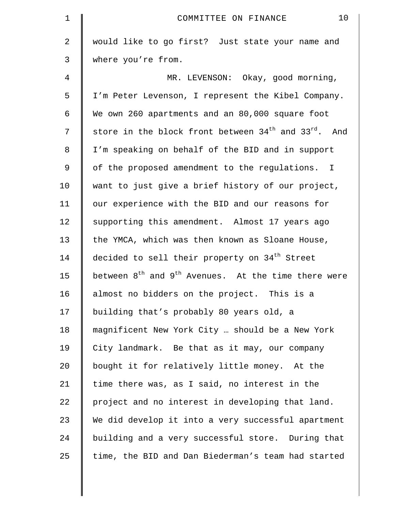| $\mathbf 1$ | 10<br>COMMITTEE ON FINANCE                                                   |
|-------------|------------------------------------------------------------------------------|
| 2           | would like to go first? Just state your name and                             |
| 3           | where you're from.                                                           |
| 4           | MR. LEVENSON: Okay, good morning,                                            |
| 5           | I'm Peter Levenson, I represent the Kibel Company.                           |
| 6           | We own 260 apartments and an 80,000 square foot                              |
| 7           | store in the block front between 34 <sup>th</sup> and 33 <sup>rd</sup> . And |
| 8           | I'm speaking on behalf of the BID and in support                             |
| 9           | of the proposed amendment to the regulations. I                              |
| 10          | want to just give a brief history of our project,                            |
| 11          | our experience with the BID and our reasons for                              |
| 12          | supporting this amendment. Almost 17 years ago                               |
| 13          | the YMCA, which was then known as Sloane House,                              |
| 14          | decided to sell their property on 34 <sup>th</sup> Street                    |
| 15          | between $8^{th}$ and $9^{th}$ Avenues. At the time there were                |
| 16          | almost no bidders on the project. This is a                                  |
| 17          | building that's probably 80 years old, a                                     |
| 18          | magnificent New York City  should be a New York                              |
| 19          | City landmark. Be that as it may, our company                                |
| 20          | bought it for relatively little money. At the                                |
| 21          | time there was, as I said, no interest in the                                |
| 22          | project and no interest in developing that land.                             |
| 23          | We did develop it into a very successful apartment                           |
| 24          | building and a very successful store. During that                            |
| 25          | time, the BID and Dan Biederman's team had started                           |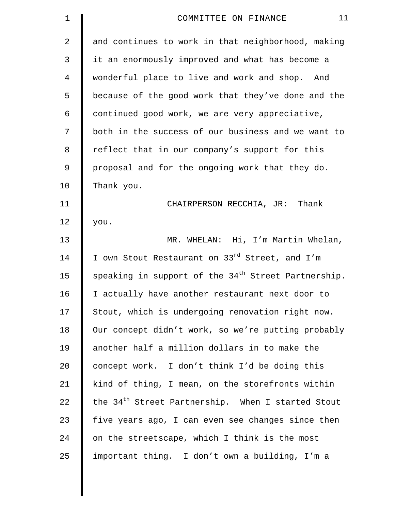| $\mathbf 1$ | 11<br>COMMITTEE ON FINANCE                                      |
|-------------|-----------------------------------------------------------------|
| 2           | and continues to work in that neighborhood, making              |
| 3           | it an enormously improved and what has become a                 |
| 4           | wonderful place to live and work and shop. And                  |
| 5           | because of the good work that they've done and the              |
| 6           | continued good work, we are very appreciative,                  |
| 7           | both in the success of our business and we want to              |
| 8           | reflect that in our company's support for this                  |
| 9           | proposal and for the ongoing work that they do.                 |
| 10          | Thank you.                                                      |
| 11          | CHAIRPERSON RECCHIA, JR: Thank                                  |
| 12          | you.                                                            |
| 13          | MR. WHELAN: Hi, I'm Martin Whelan,                              |
| 14          | I own Stout Restaurant on 33 <sup>rd</sup> Street, and I'm      |
| 15          | speaking in support of the 34 <sup>th</sup> Street Partnership. |
| 16          | I actually have another restaurant next door to                 |
| 17          | Stout, which is undergoing renovation right now.                |
| 18          | Our concept didn't work, so we're putting probably              |
| 19          | another half a million dollars in to make the                   |
| 20          | concept work. I don't think I'd be doing this                   |
| 21          | kind of thing, I mean, on the storefronts within                |
| 22          | the 34 <sup>th</sup> Street Partnership. When I started Stout   |
| 23          | five years ago, I can even see changes since then               |
| 24          | on the streetscape, which I think is the most                   |
| 25          | important thing. I don't own a building, I'm a                  |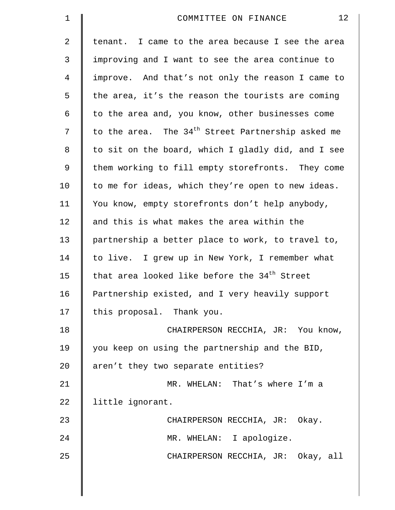| $\mathbf 1$ | 12<br>COMMITTEE ON FINANCE                                    |
|-------------|---------------------------------------------------------------|
| 2           | tenant. I came to the area because I see the area             |
| 3           | improving and I want to see the area continue to              |
| 4           | improve. And that's not only the reason I came to             |
| 5           | the area, it's the reason the tourists are coming             |
| 6           | to the area and, you know, other businesses come              |
| 7           | to the area. The 34 <sup>th</sup> Street Partnership asked me |
| 8           | to sit on the board, which I gladly did, and I see            |
| 9           | them working to fill empty storefronts. They come             |
| 10          | to me for ideas, which they're open to new ideas.             |
| 11          | You know, empty storefronts don't help anybody,               |
| 12          | and this is what makes the area within the                    |
| 13          | partnership a better place to work, to travel to,             |
| 14          | to live. I grew up in New York, I remember what               |
| 15          | that area looked like before the 34 <sup>th</sup> Street      |
| 16          | Partnership existed, and I very heavily support               |
| 17          | this proposal. Thank you.                                     |
| 18          | CHAIRPERSON RECCHIA, JR: You know,                            |
| 19          | you keep on using the partnership and the BID,                |
| 20          | aren't they two separate entities?                            |
| 21          | MR. WHELAN: That's where I'm a                                |
| 22          | little ignorant.                                              |
| 23          | CHAIRPERSON RECCHIA, JR: Okay.                                |
| 24          | MR. WHELAN: I apologize.                                      |
| 25          | CHAIRPERSON RECCHIA, JR: Okay, all                            |
|             |                                                               |

 $\parallel$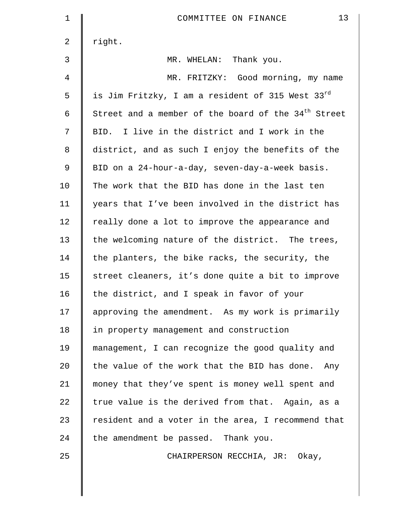| $\mathbf 1$    | 13<br>COMMITTEE ON FINANCE                                      |
|----------------|-----------------------------------------------------------------|
| $\overline{a}$ | right.                                                          |
| 3              | MR. WHELAN: Thank you.                                          |
| 4              | MR. FRITZKY: Good morning, my name                              |
| 5              | is Jim Fritzky, I am a resident of 315 West 33rd                |
| 6              | Street and a member of the board of the 34 <sup>th</sup> Street |
| 7              | BID. I live in the district and I work in the                   |
| 8              | district, and as such I enjoy the benefits of the               |
| 9              | BID on a 24-hour-a-day, seven-day-a-week basis.                 |
| 10             | The work that the BID has done in the last ten                  |
| 11             | years that I've been involved in the district has               |
| 12             | really done a lot to improve the appearance and                 |
| 13             | the welcoming nature of the district. The trees,                |
| 14             | the planters, the bike racks, the security, the                 |
| 15             | street cleaners, it's done quite a bit to improve               |
| 16             | the district, and I speak in favor of your                      |
| 17             | approving the amendment. As my work is primarily                |
| 18             | in property management and construction                         |
| 19             | management, I can recognize the good quality and                |
| 20             | the value of the work that the BID has done. Any                |
| 21             | money that they've spent is money well spent and                |
| 22             | true value is the derived from that. Again, as a                |
| 23             | resident and a voter in the area, I recommend that              |
| 24             | the amendment be passed. Thank you.                             |
| 25             | CHAIRPERSON RECCHIA, JR: Okay,                                  |
|                |                                                                 |

 $\parallel$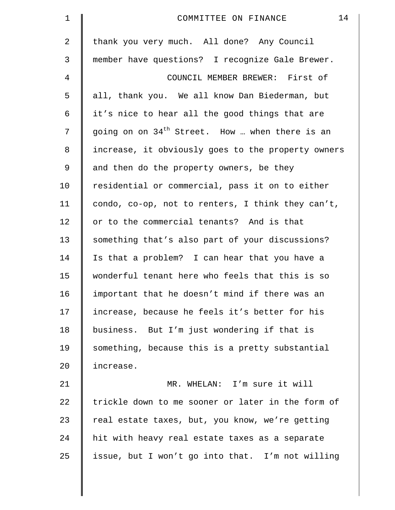| $\mathbf 1$    | 14<br>COMMITTEE ON FINANCE                         |
|----------------|----------------------------------------------------|
| $\overline{2}$ | thank you very much. All done? Any Council         |
| 3              | member have questions? I recognize Gale Brewer.    |
| 4              | COUNCIL MEMBER BREWER: First of                    |
| 5              | all, thank you. We all know Dan Biederman, but     |
| 6              | it's nice to hear all the good things that are     |
| 7              | going on on $34th$ Street. How  when there is an   |
| 8              | increase, it obviously goes to the property owners |
| $\mathsf 9$    | and then do the property owners, be they           |
| 10             | residential or commercial, pass it on to either    |
| 11             | condo, co-op, not to renters, I think they can't,  |
| 12             | or to the commercial tenants? And is that          |
| 13             | something that's also part of your discussions?    |
| 14             | Is that a problem? I can hear that you have a      |
| 15             | wonderful tenant here who feels that this is so    |
| 16             | important that he doesn't mind if there was an     |
| 17             | increase, because he feels it's better for his     |
| 18             | business. But I'm just wondering if that is        |
| 19             | something, because this is a pretty substantial    |
| 20             | increase.                                          |
| 21             | MR. WHELAN: I'm sure it will                       |
| 22             | trickle down to me sooner or later in the form of  |
| 23             | real estate taxes, but, you know, we're getting    |
| 24             | hit with heavy real estate taxes as a separate     |
| 25             | issue, but I won't go into that. I'm not willing   |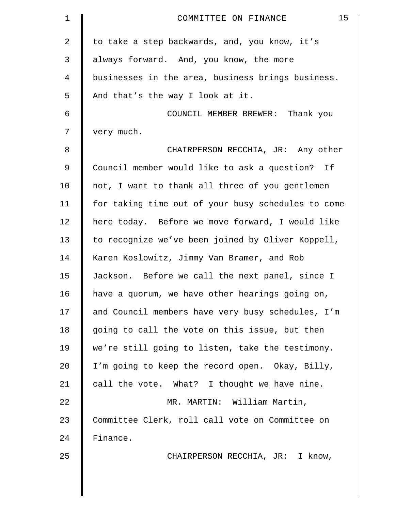| $\mathbf 1$ | 15<br>COMMITTEE ON FINANCE                         |
|-------------|----------------------------------------------------|
| 2           | to take a step backwards, and, you know, it's      |
| 3           | always forward. And, you know, the more            |
| 4           | businesses in the area, business brings business.  |
| 5           | And that's the way I look at it.                   |
| 6           | COUNCIL MEMBER BREWER: Thank you                   |
| 7           | very much.                                         |
| 8           | CHAIRPERSON RECCHIA, JR: Any other                 |
| 9           | Council member would like to ask a question? If    |
| 10          | not, I want to thank all three of you gentlemen    |
| 11          | for taking time out of your busy schedules to come |
| 12          | here today. Before we move forward, I would like   |
| 13          | to recognize we've been joined by Oliver Koppell,  |
| 14          | Karen Koslowitz, Jimmy Van Bramer, and Rob         |
| 15          | Jackson. Before we call the next panel, since I    |
| 16          | have a quorum, we have other hearings going on,    |
| 17          | and Council members have very busy schedules, I'm  |
| 18          | going to call the vote on this issue, but then     |
| 19          | we're still going to listen, take the testimony.   |
| 20          | I'm going to keep the record open. Okay, Billy,    |
| 21          | call the vote. What? I thought we have nine.       |
| 22          | MR. MARTIN: William Martin,                        |
| 23          | Committee Clerk, roll call vote on Committee on    |
| 24          | Finance.                                           |
| 25          | CHAIRPERSON RECCHIA, JR: I know,                   |
|             |                                                    |
|             |                                                    |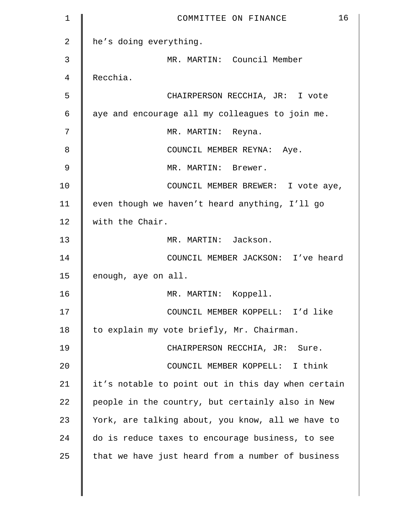| 1             | 16<br>COMMITTEE ON FINANCE                         |
|---------------|----------------------------------------------------|
| 2             | he's doing everything.                             |
| 3             | MR. MARTIN: Council Member                         |
| 4             | Recchia.                                           |
| 5             | CHAIRPERSON RECCHIA, JR: I vote                    |
| 6             | aye and encourage all my colleagues to join me.    |
| 7             | MR. MARTIN: Reyna.                                 |
| 8             | COUNCIL MEMBER REYNA: Aye.                         |
| $\mathcal{G}$ | MR. MARTIN: Brewer.                                |
| 10            | COUNCIL MEMBER BREWER: I vote aye,                 |
| 11            | even though we haven't heard anything, I'll go     |
| 12            | with the Chair.                                    |
| 13            | MR. MARTIN: Jackson.                               |
| 14            | COUNCIL MEMBER JACKSON: I've heard                 |
| 15            | enough, aye on all.                                |
| 16            | MR. MARTIN: Koppell.                               |
| 17            | COUNCIL MEMBER KOPPELL: I'd like                   |
| 18            | to explain my vote briefly, Mr. Chairman.          |
| 19            | CHAIRPERSON RECCHIA, JR: Sure.                     |
| 20            | COUNCIL MEMBER KOPPELL: I think                    |
| 21            | it's notable to point out in this day when certain |
| 22            | people in the country, but certainly also in New   |
| 23            | York, are talking about, you know, all we have to  |
| 24            | do is reduce taxes to encourage business, to see   |
| 25            | that we have just heard from a number of business  |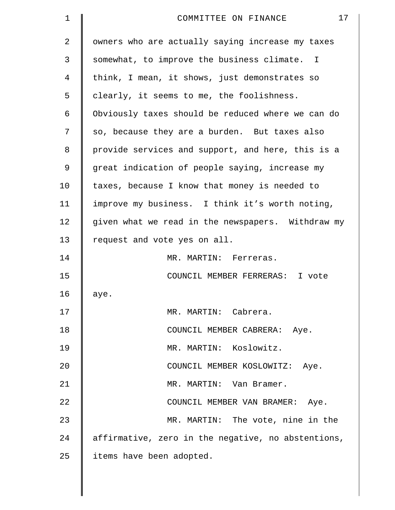| $\mathbf 1$ | 17<br>COMMITTEE ON FINANCE                         |
|-------------|----------------------------------------------------|
| 2           | owners who are actually saying increase my taxes   |
| 3           | somewhat, to improve the business climate. I       |
| 4           | think, I mean, it shows, just demonstrates so      |
| 5           | clearly, it seems to me, the foolishness.          |
| 6           | Obviously taxes should be reduced where we can do  |
| 7           | so, because they are a burden. But taxes also      |
| 8           | provide services and support, and here, this is a  |
| 9           | great indication of people saying, increase my     |
| 10          | taxes, because I know that money is needed to      |
| 11          | improve my business. I think it's worth noting,    |
| 12          | given what we read in the newspapers. Withdraw my  |
| 13          | request and vote yes on all.                       |
| 14          | MR. MARTIN: Ferreras.                              |
| 15          | COUNCIL MEMBER FERRERAS: I vote                    |
| 16          | aye.                                               |
| 17          | MR. MARTIN: Cabrera.                               |
| 18          | COUNCIL MEMBER CABRERA: Aye.                       |
| 19          | MR. MARTIN: Koslowitz.                             |
| 20          | COUNCIL MEMBER KOSLOWITZ: Aye.                     |
| 21          | MR. MARTIN: Van Bramer.                            |
| 22          | COUNCIL MEMBER VAN BRAMER: Aye.                    |
| 23          | MR. MARTIN: The vote, nine in the                  |
| 24          | affirmative, zero in the negative, no abstentions, |
| 25          | items have been adopted.                           |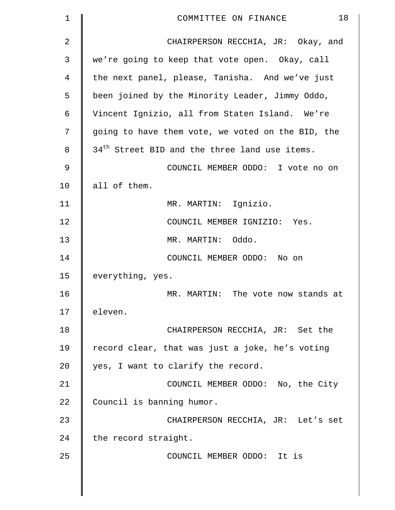| 1  | 18<br>COMMITTEE ON FINANCE                                |
|----|-----------------------------------------------------------|
| 2  | CHAIRPERSON RECCHIA, JR: Okay, and                        |
| 3  | we're going to keep that vote open. Okay, call            |
| 4  | the next panel, please, Tanisha. And we've just           |
| 5  | been joined by the Minority Leader, Jimmy Oddo,           |
| 6  | Vincent Ignizio, all from Staten Island. We're            |
| 7  | going to have them vote, we voted on the BID, the         |
| 8  | 34 <sup>th</sup> Street BID and the three land use items. |
| 9  | COUNCIL MEMBER ODDO: I vote no on                         |
| 10 | all of them.                                              |
| 11 | MR. MARTIN: Ignizio.                                      |
| 12 | COUNCIL MEMBER IGNIZIO: Yes.                              |
| 13 | MR. MARTIN: Oddo.                                         |
| 14 | COUNCIL MEMBER ODDO: No on                                |
| 15 | everything, yes.                                          |
| 16 | MR. MARTIN: The vote now stands at                        |
| 17 | eleven.                                                   |
| 18 | CHAIRPERSON RECCHIA, JR: Set the                          |
| 19 | record clear, that was just a joke, he's voting           |
| 20 | yes, I want to clarify the record.                        |
| 21 | COUNCIL MEMBER ODDO: No, the City                         |
| 22 | Council is banning humor.                                 |
| 23 | CHAIRPERSON RECCHIA, JR: Let's set                        |
| 24 | the record straight.                                      |
| 25 | COUNCIL MEMBER ODDO: It is                                |
|    |                                                           |
|    |                                                           |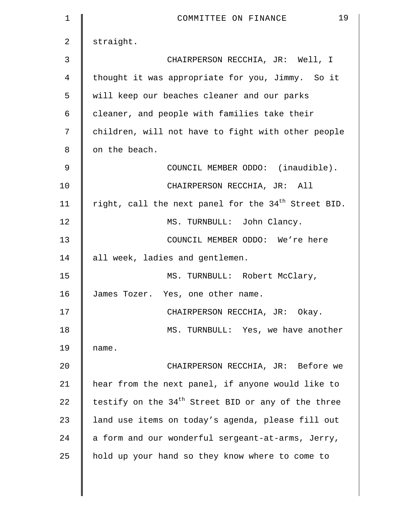| $\mathbf 1$ | 19<br>COMMITTEE ON FINANCE                                      |
|-------------|-----------------------------------------------------------------|
| 2           | straight.                                                       |
| 3           | CHAIRPERSON RECCHIA, JR: Well, I                                |
| 4           | thought it was appropriate for you, Jimmy. So it                |
| 5           | will keep our beaches cleaner and our parks                     |
| 6           | cleaner, and people with families take their                    |
| 7           | children, will not have to fight with other people              |
| 8           | on the beach.                                                   |
| 9           | COUNCIL MEMBER ODDO: (inaudible).                               |
| 10          | CHAIRPERSON RECCHIA, JR: All                                    |
| 11          | right, call the next panel for the 34 <sup>th</sup> Street BID. |
| 12          | MS. TURNBULL: John Clancy.                                      |
| 13          | COUNCIL MEMBER ODDO: We're here                                 |
| 14          | all week, ladies and gentlemen.                                 |
| 15          | MS. TURNBULL: Robert McClary,                                   |
| 16          | James Tozer. Yes, one other name.                               |
| 17          | CHAIRPERSON RECCHIA, JR: Okay.                                  |
| 18          | MS. TURNBULL: Yes, we have another                              |
| 19          | name.                                                           |
| 20          | CHAIRPERSON RECCHIA, JR: Before we                              |
| 21          | hear from the next panel, if anyone would like to               |
| 22          | testify on the $34th$ Street BID or any of the three            |
| 23          | land use items on today's agenda, please fill out               |
| 24          | a form and our wonderful sergeant-at-arms, Jerry,               |
| 25          | hold up your hand so they know where to come to                 |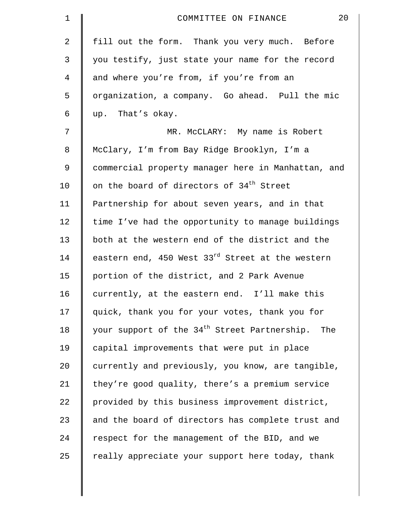| $\mathbf 1$    | 20<br>COMMITTEE ON FINANCE                                   |
|----------------|--------------------------------------------------------------|
| 2              | fill out the form. Thank you very much. Before               |
| 3              | you testify, just state your name for the record             |
| $\overline{4}$ | and where you're from, if you're from an                     |
| 5              | organization, a company. Go ahead. Pull the mic              |
| 6              | up. That's okay.                                             |
| 7              | MR. McCLARY: My name is Robert                               |
| $\,8\,$        | McClary, I'm from Bay Ridge Brooklyn, I'm a                  |
| 9              | commercial property manager here in Manhattan, and           |
| 10             | on the board of directors of 34 <sup>th</sup> Street         |
| 11             | Partnership for about seven years, and in that               |
| 12             | time I've had the opportunity to manage buildings            |
| 13             | both at the western end of the district and the              |
| 14             | eastern end, 450 West 33 <sup>rd</sup> Street at the western |
| 15             | portion of the district, and 2 Park Avenue                   |
| 16             | currently, at the eastern end. I'll make this                |
| 17             | quick, thank you for your votes, thank you for               |
| 18             | your support of the 34 <sup>th</sup> Street Partnership. The |
| 19             | capital improvements that were put in place                  |
| 20             | currently and previously, you know, are tangible,            |
| 21             | they're good quality, there's a premium service              |
| 22             | provided by this business improvement district,              |
| 23             | and the board of directors has complete trust and            |
| 24             | respect for the management of the BID, and we                |
| 25             | really appreciate your support here today, thank             |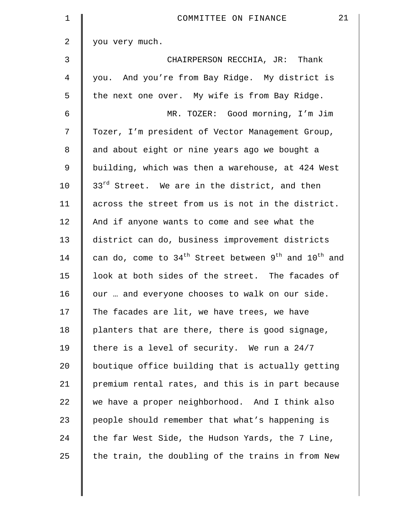| $\mathbf 1$    | 21<br>COMMITTEE ON FINANCE                                 |
|----------------|------------------------------------------------------------|
| $\overline{a}$ | you very much.                                             |
| 3              | CHAIRPERSON RECCHIA, JR: Thank                             |
| $\overline{4}$ | you. And you're from Bay Ridge. My district is             |
| 5              | the next one over. My wife is from Bay Ridge.              |
| 6              | MR. TOZER: Good morning, I'm Jim                           |
| 7              | Tozer, I'm president of Vector Management Group,           |
| 8              | and about eight or nine years ago we bought a              |
| 9              | building, which was then a warehouse, at 424 West          |
| 10             | 33 <sup>rd</sup> Street. We are in the district, and then  |
| 11             | across the street from us is not in the district.          |
| 12             | And if anyone wants to come and see what the               |
| 13             | district can do, business improvement districts            |
| 14             | can do, come to $34th$ Street between $9th$ and $10th$ and |
| 15             | look at both sides of the street. The facades of           |
| 16             | our  and everyone chooses to walk on our side.             |
| 17             | The facades are lit, we have trees, we have                |
| 18             | planters that are there, there is good signage,            |
| 19             | there is a level of security. We run a 24/7                |
| 20             | boutique office building that is actually getting          |
| 21             | premium rental rates, and this is in part because          |
| 22             | we have a proper neighborhood. And I think also            |
| 23             | people should remember that what's happening is            |
| 24             | the far West Side, the Hudson Yards, the 7 Line,           |
| 25             | the train, the doubling of the trains in from New          |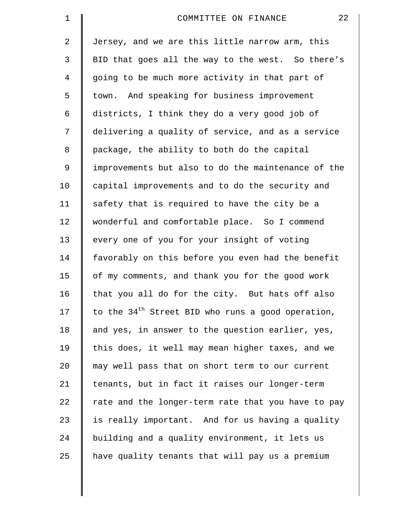| $\mathbf 1$    | 22<br>COMMITTEE ON FINANCE                          |
|----------------|-----------------------------------------------------|
| 2              | Jersey, and we are this little narrow arm, this     |
| 3              | BID that goes all the way to the west. So there's   |
| $\overline{4}$ | going to be much more activity in that part of      |
| 5              | town. And speaking for business improvement         |
| 6              | districts, I think they do a very good job of       |
| 7              | delivering a quality of service, and as a service   |
| 8              | package, the ability to both do the capital         |
| 9              | improvements but also to do the maintenance of the  |
| 10             | capital improvements and to do the security and     |
| 11             | safety that is required to have the city be a       |
| 12             | wonderful and comfortable place. So I commend       |
| 13             | every one of you for your insight of voting         |
| 14             | favorably on this before you even had the benefit   |
| 15             | of my comments, and thank you for the good work     |
| 16             | that you all do for the city. But hats off also     |
| 17             | to the $34th$ Street BID who runs a good operation, |
| 18             | and yes, in answer to the question earlier, yes,    |
| 19             | this does, it well may mean higher taxes, and we    |
| 20             | may well pass that on short term to our current     |
| 21             | tenants, but in fact it raises our longer-term      |
| 22             | rate and the longer-term rate that you have to pay  |
| 23             | is really important. And for us having a quality    |
| 24             | building and a quality environment, it lets us      |
| 25             | have quality tenants that will pay us a premium     |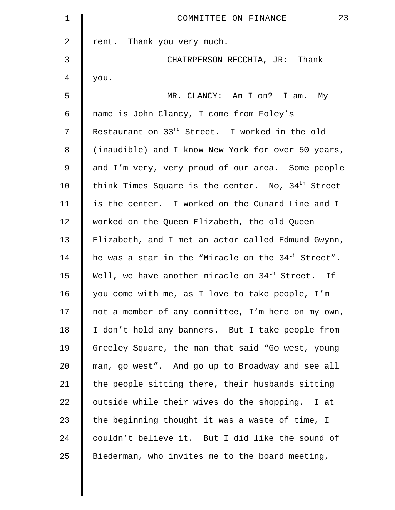| $\mathbf 1$ | 23<br>COMMITTEE ON FINANCE                                    |
|-------------|---------------------------------------------------------------|
| 2           | rent. Thank you very much.                                    |
| 3           | CHAIRPERSON RECCHIA, JR: Thank                                |
| 4           | you.                                                          |
| 5           | MR. CLANCY: Am I on? I am. My                                 |
| 6           | name is John Clancy, I come from Foley's                      |
| 7           | Restaurant on 33 <sup>rd</sup> Street. I worked in the old    |
| 8           | (inaudible) and I know New York for over 50 years,            |
| 9           | and I'm very, very proud of our area. Some people             |
| 10          | think Times Square is the center. No, 34 <sup>th</sup> Street |
| 11          | is the center. I worked on the Cunard Line and I              |
| 12          | worked on the Queen Elizabeth, the old Queen                  |
| 13          | Elizabeth, and I met an actor called Edmund Gwynn,            |
| 14          | he was a star in the "Miracle on the $34th$ Street".          |
| 15          | Well, we have another miracle on 34 <sup>th</sup> Street. If  |
| 16          | you come with me, as I love to take people, I'm               |
| 17          | not a member of any committee, I'm here on my own,            |
| 18          | I don't hold any banners. But I take people from              |
| 19          | Greeley Square, the man that said "Go west, young             |
| 20          | man, go west". And go up to Broadway and see all              |
| 21          | the people sitting there, their husbands sitting              |
| 22          | outside while their wives do the shopping. I at               |
| 23          | the beginning thought it was a waste of time, I               |
| 24          | couldn't believe it. But I did like the sound of              |
| 25          | Biederman, who invites me to the board meeting,               |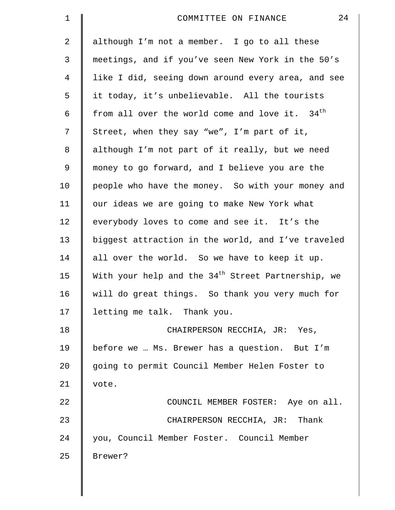| $\mathbf 1$ | 24<br>COMMITTEE ON FINANCE                                     |
|-------------|----------------------------------------------------------------|
| 2           | although I'm not a member. I go to all these                   |
| 3           | meetings, and if you've seen New York in the 50's              |
| 4           | like I did, seeing down around every area, and see             |
| 5           | it today, it's unbelievable. All the tourists                  |
| 6           | from all over the world come and love it. 34 <sup>th</sup>     |
| 7           | Street, when they say "we", I'm part of it,                    |
| 8           | although I'm not part of it really, but we need                |
| 9           | money to go forward, and I believe you are the                 |
| 10          | people who have the money. So with your money and              |
| 11          | our ideas we are going to make New York what                   |
| 12          | everybody loves to come and see it. It's the                   |
| 13          | biggest attraction in the world, and I've traveled             |
| 14          | all over the world. So we have to keep it up.                  |
| 15          | With your help and the 34 <sup>th</sup> Street Partnership, we |
| 16          | will do great things. So thank you very much for               |
| 17          | letting me talk. Thank you.                                    |
| 18          | CHAIRPERSON RECCHIA, JR: Yes,                                  |
| 19          | before we  Ms. Brewer has a question. But I'm                  |
| 20          | going to permit Council Member Helen Foster to                 |
| 21          | vote.                                                          |
| 22          | COUNCIL MEMBER FOSTER: Aye on all.                             |
| 23          | CHAIRPERSON RECCHIA, JR: Thank                                 |
| 24          | you, Council Member Foster. Council Member                     |
| 25          | Brewer?                                                        |
|             |                                                                |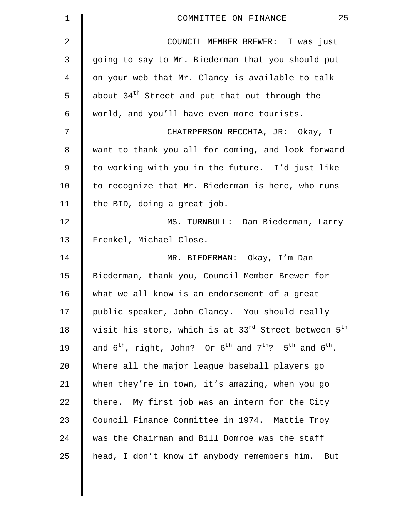| 1  | 25<br>COMMITTEE ON FINANCE                                                     |
|----|--------------------------------------------------------------------------------|
| 2  | COUNCIL MEMBER BREWER: I was just                                              |
| 3  | going to say to Mr. Biederman that you should put                              |
| 4  | on your web that Mr. Clancy is available to talk                               |
| 5  | about 34 <sup>th</sup> Street and put that out through the                     |
| 6  | world, and you'll have even more tourists.                                     |
| 7  | CHAIRPERSON RECCHIA, JR: Okay, I                                               |
| 8  | want to thank you all for coming, and look forward                             |
| 9  | to working with you in the future. I'd just like                               |
| 10 | to recognize that Mr. Biederman is here, who runs                              |
| 11 | the BID, doing a great job.                                                    |
| 12 | MS. TURNBULL: Dan Biederman, Larry                                             |
| 13 | Frenkel, Michael Close.                                                        |
| 14 | MR. BIEDERMAN: Okay, I'm Dan                                                   |
| 15 | Biederman, thank you, Council Member Brewer for                                |
| 16 | what we all know is an endorsement of a great                                  |
| 17 | public speaker, John Clancy. You should really                                 |
| 18 | visit his store, which is at 33 <sup>rd</sup> Street between 5 <sup>th</sup>   |
| 19 | and $6^{th}$ , right, John? Or $6^{th}$ and $7^{th}$ ? $5^{th}$ and $6^{th}$ . |
| 20 | Where all the major league baseball players go                                 |
| 21 | when they're in town, it's amazing, when you go                                |
| 22 | there. My first job was an intern for the City                                 |
| 23 | Council Finance Committee in 1974. Mattie Troy                                 |
| 24 | was the Chairman and Bill Domroe was the staff                                 |
| 25 | head, I don't know if anybody remembers him. But                               |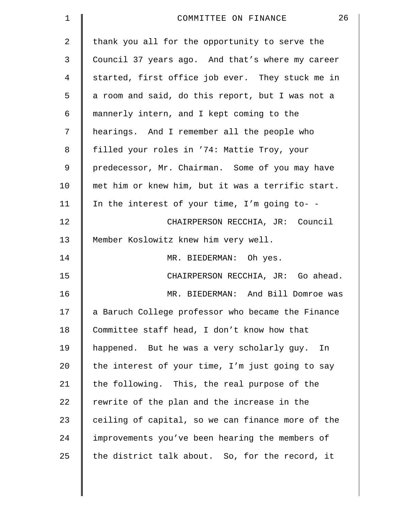| $\mathbf 1$    | 26<br>COMMITTEE ON FINANCE                        |
|----------------|---------------------------------------------------|
| $\overline{a}$ | thank you all for the opportunity to serve the    |
| 3              | Council 37 years ago. And that's where my career  |
| 4              | started, first office job ever. They stuck me in  |
| 5              | a room and said, do this report, but I was not a  |
| 6              | mannerly intern, and I kept coming to the         |
| 7              | hearings. And I remember all the people who       |
| 8              | filled your roles in '74: Mattie Troy, your       |
| 9              | predecessor, Mr. Chairman. Some of you may have   |
| 10             | met him or knew him, but it was a terrific start. |
| 11             | In the interest of your time, I'm going to- -     |
| 12             | CHAIRPERSON RECCHIA, JR: Council                  |
| 13             | Member Koslowitz knew him very well.              |
| 14             | MR. BIEDERMAN: Oh yes.                            |
| 15             | CHAIRPERSON RECCHIA, JR: Go ahead.                |
| 16             | MR. BIEDERMAN: And Bill Domroe was                |
| 17             | a Baruch College professor who became the Finance |
| 18             | Committee staff head, I don't know how that       |
| 19             | happened. But he was a very scholarly guy. In     |
| 20             | the interest of your time, I'm just going to say  |
| 21             | the following. This, the real purpose of the      |
| 22             | rewrite of the plan and the increase in the       |
| 23             | ceiling of capital, so we can finance more of the |
| 24             | improvements you've been hearing the members of   |
| 25             | the district talk about. So, for the record, it   |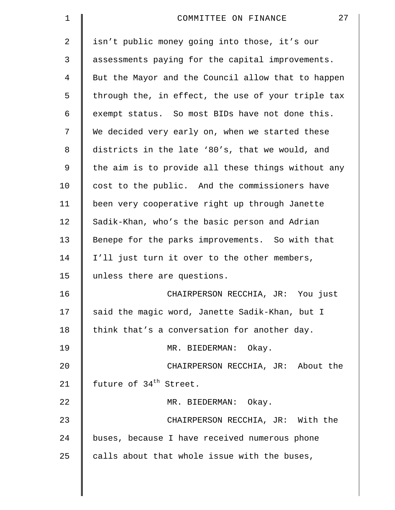| $\mathbf 1$ | 27<br>COMMITTEE ON FINANCE                         |
|-------------|----------------------------------------------------|
| 2           | isn't public money going into those, it's our      |
| 3           | assessments paying for the capital improvements.   |
| 4           | But the Mayor and the Council allow that to happen |
| 5           | through the, in effect, the use of your triple tax |
| 6           | exempt status. So most BIDs have not done this.    |
| 7           | We decided very early on, when we started these    |
| 8           | districts in the late '80's, that we would, and    |
| 9           | the aim is to provide all these things without any |
| 10          | cost to the public. And the commissioners have     |
| 11          | been very cooperative right up through Janette     |
| 12          | Sadik-Khan, who's the basic person and Adrian      |
| 13          | Benepe for the parks improvements. So with that    |
| 14          | I'll just turn it over to the other members,       |
| 15          | unless there are questions.                        |
| 16          | CHAIRPERSON RECCHIA, JR: You just                  |
| 17          | said the magic word, Janette Sadik-Khan, but I     |
| 18          | think that's a conversation for another day.       |
| 19          | MR. BIEDERMAN: Okay.                               |
| 20          | CHAIRPERSON RECCHIA, JR: About the                 |
| 21          | future of 34 <sup>th</sup> Street.                 |
| 22          | MR. BIEDERMAN: Okay.                               |
| 23          | CHAIRPERSON RECCHIA, JR: With the                  |
| 24          | buses, because I have received numerous phone      |
| 25          | calls about that whole issue with the buses,       |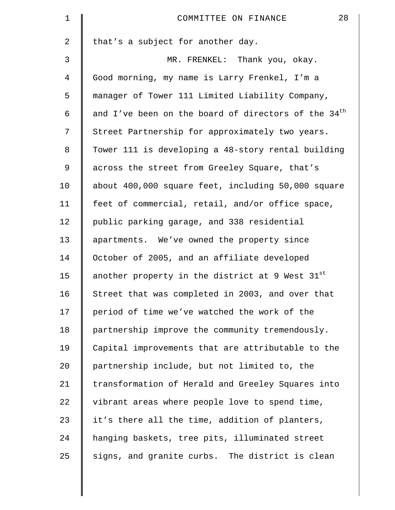| $\mathbf 1$    | 28<br>COMMITTEE ON FINANCE                            |
|----------------|-------------------------------------------------------|
| $\overline{a}$ | that's a subject for another day.                     |
| 3              | MR. FRENKEL: Thank you, okay.                         |
| 4              | Good morning, my name is Larry Frenkel, I'm a         |
| 5              | manager of Tower 111 Limited Liability Company,       |
| 6              | and I've been on the board of directors of the $34th$ |
| 7              | Street Partnership for approximately two years.       |
| 8              | Tower 111 is developing a 48-story rental building    |
| $\mathsf 9$    | across the street from Greeley Square, that's         |
| 10             | about 400,000 square feet, including 50,000 square    |
| 11             | feet of commercial, retail, and/or office space,      |
| 12             | public parking garage, and 338 residential            |
| 13             | apartments. We've owned the property since            |
| 14             | October of 2005, and an affiliate developed           |
| 15             | another property in the district at 9 West 31st       |
| 16             | Street that was completed in 2003, and over that      |
| 17             | period of time we've watched the work of the          |
| 18             | partnership improve the community tremendously.       |
| 19             | Capital improvements that are attributable to the     |
| 20             | partnership include, but not limited to, the          |
| 21             | transformation of Herald and Greeley Squares into     |
| 22             | vibrant areas where people love to spend time,        |
| 23             | it's there all the time, addition of planters,        |
| 24             | hanging baskets, tree pits, illuminated street        |
| 25             | signs, and granite curbs. The district is clean       |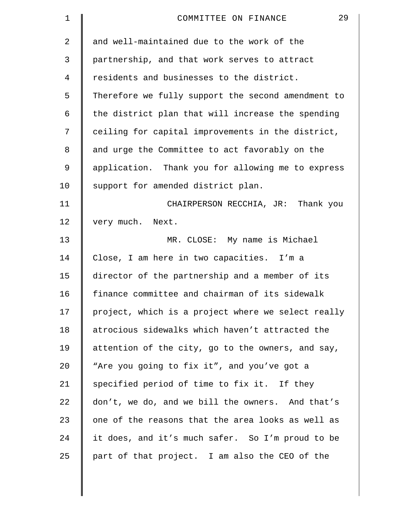| 1  | 29<br>COMMITTEE ON FINANCE                         |
|----|----------------------------------------------------|
| 2  | and well-maintained due to the work of the         |
| 3  | partnership, and that work serves to attract       |
| 4  | residents and businesses to the district.          |
| 5  | Therefore we fully support the second amendment to |
| 6  | the district plan that will increase the spending  |
| 7  | ceiling for capital improvements in the district,  |
| 8  | and urge the Committee to act favorably on the     |
| 9  | application. Thank you for allowing me to express  |
| 10 | support for amended district plan.                 |
| 11 | CHAIRPERSON RECCHIA, JR: Thank you                 |
| 12 | very much.<br>Next.                                |
| 13 | MR. CLOSE: My name is Michael                      |
| 14 | Close, I am here in two capacities. I'm a          |
| 15 | director of the partnership and a member of its    |
| 16 | finance committee and chairman of its sidewalk     |
| 17 | project, which is a project where we select really |
| 18 | atrocious sidewalks which haven't attracted the    |
| 19 | attention of the city, go to the owners, and say,  |
| 20 | "Are you going to fix it", and you've got a        |
| 21 | specified period of time to fix it. If they        |
| 22 | don't, we do, and we bill the owners. And that's   |
| 23 | one of the reasons that the area looks as well as  |
| 24 | it does, and it's much safer. So I'm proud to be   |
| 25 | part of that project. I am also the CEO of the     |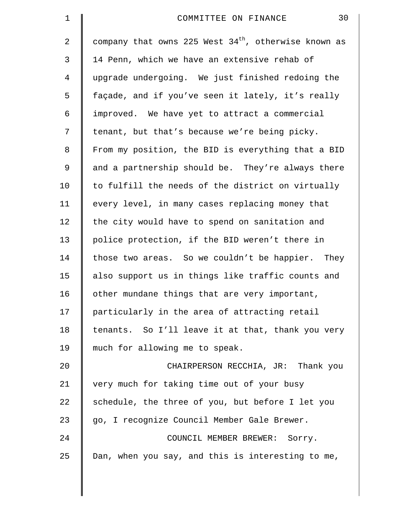| $\mathbf 1$ | 30<br>COMMITTEE ON FINANCE                             |
|-------------|--------------------------------------------------------|
| 2           | company that owns 225 West $34th$ , otherwise known as |
| 3           | 14 Penn, which we have an extensive rehab of           |
| 4           | upgrade undergoing. We just finished redoing the       |
| 5           | façade, and if you've seen it lately, it's really      |
| 6           | improved. We have yet to attract a commercial          |
| 7           | tenant, but that's because we're being picky.          |
| 8           | From my position, the BID is everything that a BID     |
| 9           | and a partnership should be. They're always there      |
| 10          | to fulfill the needs of the district on virtually      |
| 11          | every level, in many cases replacing money that        |
| 12          | the city would have to spend on sanitation and         |
| 13          | police protection, if the BID weren't there in         |
| 14          | those two areas. So we couldn't be happier. They       |
| 15          | also support us in things like traffic counts and      |
| 16          | other mundane things that are very important,          |
| 17          | particularly in the area of attracting retail          |
| 18          | tenants. So I'll leave it at that, thank you very      |
| 19          | much for allowing me to speak.                         |
| 20          | CHAIRPERSON RECCHIA, JR: Thank you                     |
| 21          | very much for taking time out of your busy             |
| 22          | schedule, the three of you, but before I let you       |
| 23          | go, I recognize Council Member Gale Brewer.            |
| 24          | COUNCIL MEMBER BREWER: Sorry.                          |
| 25          | Dan, when you say, and this is interesting to me,      |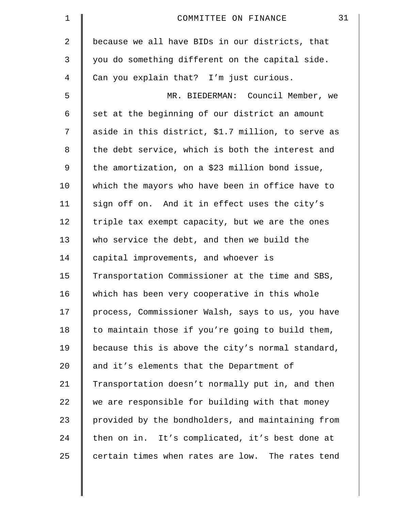| 1              | 31<br>COMMITTEE ON FINANCE                         |
|----------------|----------------------------------------------------|
| $\overline{a}$ | because we all have BIDs in our districts, that    |
| 3              | you do something different on the capital side.    |
| 4              | Can you explain that? I'm just curious.            |
| 5              | MR. BIEDERMAN: Council Member, we                  |
| 6              | set at the beginning of our district an amount     |
| 7              | aside in this district, \$1.7 million, to serve as |
| 8              | the debt service, which is both the interest and   |
| $\mathsf 9$    | the amortization, on a \$23 million bond issue,    |
| 10             | which the mayors who have been in office have to   |
| 11             | sign off on. And it in effect uses the city's      |
| 12             | triple tax exempt capacity, but we are the ones    |
| 13             | who service the debt, and then we build the        |
| 14             | capital improvements, and whoever is               |
| 15             | Transportation Commissioner at the time and SBS,   |
| 16             | which has been very cooperative in this whole      |
| 17             | process, Commissioner Walsh, says to us, you have  |
| 18             | to maintain those if you're going to build them,   |
| 19             | because this is above the city's normal standard,  |
| 20             | and it's elements that the Department of           |
| 21             | Transportation doesn't normally put in, and then   |
| 22             | we are responsible for building with that money    |
| 23             | provided by the bondholders, and maintaining from  |
| 24             | then on in. It's complicated, it's best done at    |
| 25             | certain times when rates are low. The rates tend   |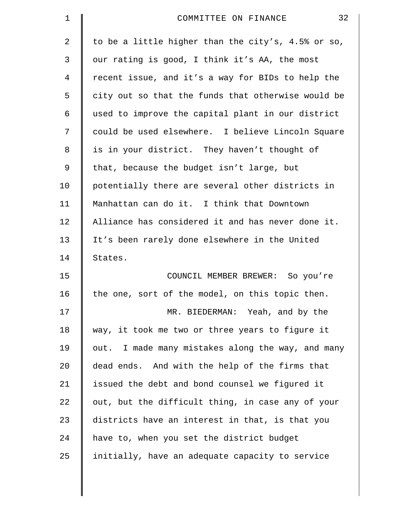| $\mathbf 1$ | 32<br>COMMITTEE ON FINANCE                         |
|-------------|----------------------------------------------------|
| 2           | to be a little higher than the city's, 4.5% or so, |
| 3           | our rating is good, I think it's AA, the most      |
| 4           | recent issue, and it's a way for BIDs to help the  |
| 5           | city out so that the funds that otherwise would be |
| 6           | used to improve the capital plant in our district  |
| 7           | could be used elsewhere. I believe Lincoln Square  |
| 8           | is in your district. They haven't thought of       |
| 9           | that, because the budget isn't large, but          |
| 10          | potentially there are several other districts in   |
| 11          | Manhattan can do it. I think that Downtown         |
| 12          | Alliance has considered it and has never done it.  |
| 13          | It's been rarely done elsewhere in the United      |
| 14          | States.                                            |
| 15          | COUNCIL MEMBER BREWER: So you're                   |
| 16          | the one, sort of the model, on this topic then.    |
| 17          | MR. BIEDERMAN: Yeah, and by the                    |
| 18          | way, it took me two or three years to figure it    |
| 19          | out. I made many mistakes along the way, and many  |
| 20          | dead ends. And with the help of the firms that     |
| 21          | issued the debt and bond counsel we figured it     |
| 22          | out, but the difficult thing, in case any of your  |
| 23          | districts have an interest in that, is that you    |
| 24          | have to, when you set the district budget          |
| 25          | initially, have an adequate capacity to service    |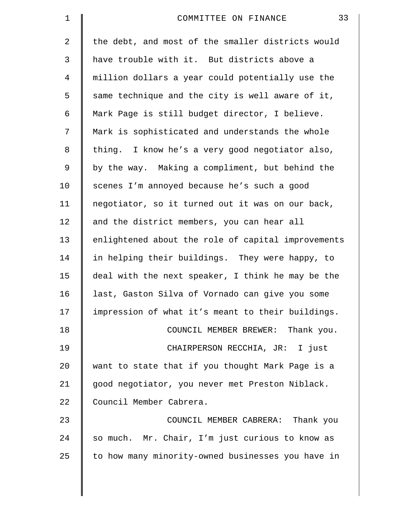| $\mathbf 1$    | 33<br>COMMITTEE ON FINANCE                         |
|----------------|----------------------------------------------------|
| $\overline{2}$ | the debt, and most of the smaller districts would  |
| 3              | have trouble with it. But districts above a        |
| $\overline{4}$ | million dollars a year could potentially use the   |
| 5              | same technique and the city is well aware of it,   |
| 6              | Mark Page is still budget director, I believe.     |
| 7              | Mark is sophisticated and understands the whole    |
| 8              | thing. I know he's a very good negotiator also,    |
| 9              | by the way. Making a compliment, but behind the    |
| 10             | scenes I'm annoyed because he's such a good        |
| 11             | negotiator, so it turned out it was on our back,   |
| 12             | and the district members, you can hear all         |
| 13             | enlightened about the role of capital improvements |
| 14             | in helping their buildings. They were happy, to    |
| 15             | deal with the next speaker, I think he may be the  |
| 16             | last, Gaston Silva of Vornado can give you some    |
| 17             | impression of what it's meant to their buildings.  |
| 18             | COUNCIL MEMBER BREWER: Thank you.                  |
| 19             | CHAIRPERSON RECCHIA, JR: I just                    |
| 20             | want to state that if you thought Mark Page is a   |
| 21             | good negotiator, you never met Preston Niblack.    |
| 22             | Council Member Cabrera.                            |
| 23             | COUNCIL MEMBER CABRERA: Thank you                  |
| 24             | so much. Mr. Chair, I'm just curious to know as    |
| 25             | to how many minority-owned businesses you have in  |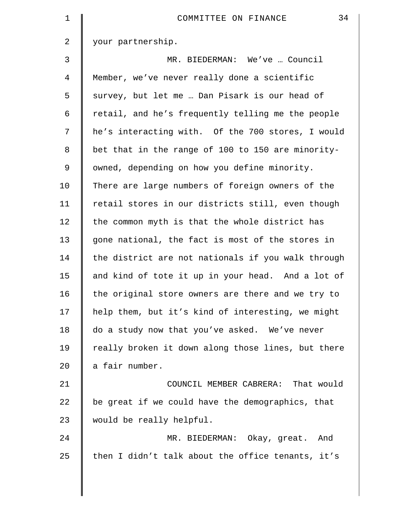| $\mathbf 1$    | 34<br>COMMITTEE ON FINANCE                         |
|----------------|----------------------------------------------------|
| $\overline{a}$ | your partnership.                                  |
| 3              | MR. BIEDERMAN: We've  Council                      |
| 4              | Member, we've never really done a scientific       |
| 5              | survey, but let me  Dan Pisark is our head of      |
| 6              | retail, and he's frequently telling me the people  |
| 7              | he's interacting with. Of the 700 stores, I would  |
| 8              | bet that in the range of 100 to 150 are minority-  |
| 9              | owned, depending on how you define minority.       |
| 10             | There are large numbers of foreign owners of the   |
| 11             | retail stores in our districts still, even though  |
| 12             | the common myth is that the whole district has     |
| 13             | gone national, the fact is most of the stores in   |
| 14             | the district are not nationals if you walk through |
| 15             | and kind of tote it up in your head. And a lot of  |
| 16             | the original store owners are there and we try to  |
| 17             | help them, but it's kind of interesting, we might  |
| 18             | do a study now that you've asked. We've never      |
| 19             | really broken it down along those lines, but there |
| 20             | a fair number.                                     |
| 21             | COUNCIL MEMBER CABRERA: That would                 |
| 22             | be great if we could have the demographics, that   |
| 23             | would be really helpful.                           |
| 24             | MR. BIEDERMAN: Okay, great. And                    |
| 25             | then I didn't talk about the office tenants, it's  |
|                |                                                    |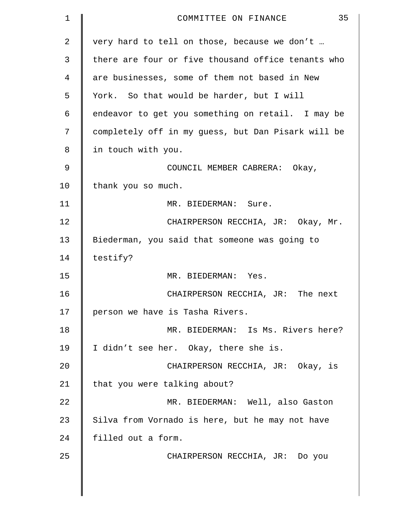| $\mathbf 1$    | 35<br>COMMITTEE ON FINANCE                         |
|----------------|----------------------------------------------------|
| $\overline{2}$ | very hard to tell on those, because we don't       |
| 3              | there are four or five thousand office tenants who |
| 4              | are businesses, some of them not based in New      |
| 5              | York. So that would be harder, but I will          |
| 6              | endeavor to get you something on retail. I may be  |
| 7              | completely off in my guess, but Dan Pisark will be |
| 8              | in touch with you.                                 |
| 9              | COUNCIL MEMBER CABRERA: Okay,                      |
| 10             | thank you so much.                                 |
| 11             | MR. BIEDERMAN: Sure.                               |
| 12             | CHAIRPERSON RECCHIA, JR: Okay, Mr.                 |
| 13             | Biederman, you said that someone was going to      |
| 14             | testify?                                           |
| 15             | MR. BIEDERMAN: Yes.                                |
| 16             | CHAIRPERSON RECCHIA, JR: The next                  |
| 17             | person we have is Tasha Rivers.                    |
| 18             | MR. BIEDERMAN: Is Ms. Rivers here?                 |
| 19             | I didn't see her. Okay, there she is.              |
| 20             | CHAIRPERSON RECCHIA, JR: Okay, is                  |
| 21             | that you were talking about?                       |
| 22             | MR. BIEDERMAN: Well, also Gaston                   |
| 23             | Silva from Vornado is here, but he may not have    |
| 24             | filled out a form.                                 |
| 25             | CHAIRPERSON RECCHIA, JR: Do you                    |
|                |                                                    |
|                |                                                    |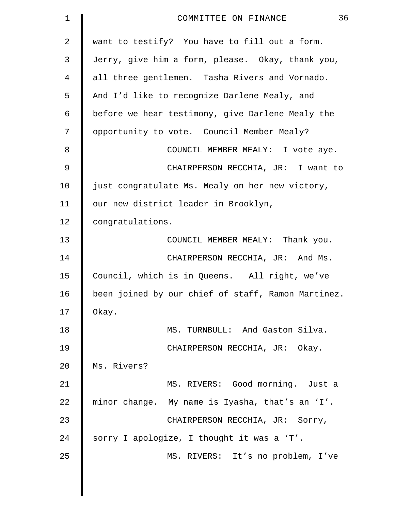| $\mathbf 1$    | 36<br>COMMITTEE ON FINANCE                         |
|----------------|----------------------------------------------------|
| $\overline{2}$ | want to testify? You have to fill out a form.      |
| 3              | Jerry, give him a form, please. Okay, thank you,   |
| 4              | all three gentlemen. Tasha Rivers and Vornado.     |
| 5              | And I'd like to recognize Darlene Mealy, and       |
| 6              | before we hear testimony, give Darlene Mealy the   |
| 7              | opportunity to vote. Council Member Mealy?         |
| 8              | COUNCIL MEMBER MEALY: I vote aye.                  |
| 9              | CHAIRPERSON RECCHIA, JR: I want to                 |
| 10             | just congratulate Ms. Mealy on her new victory,    |
| 11             | our new district leader in Brooklyn,               |
| 12             | congratulations.                                   |
| 13             | COUNCIL MEMBER MEALY: Thank you.                   |
| 14             | CHAIRPERSON RECCHIA, JR: And Ms.                   |
| 15             | Council, which is in Queens. All right, we've      |
| 16             | been joined by our chief of staff, Ramon Martinez. |
| 17             | Okay.                                              |
| 18             | MS. TURNBULL: And Gaston Silva.                    |
| 19             | CHAIRPERSON RECCHIA, JR: Okay.                     |
| 20             | Ms. Rivers?                                        |
| 21             | MS. RIVERS: Good morning. Just a                   |
| 22             | minor change. My name is Iyasha, that's an 'I'.    |
| 23             | CHAIRPERSON RECCHIA, JR: Sorry,                    |
| 24             | sorry I apologize, I thought it was a 'T'.         |
| 25             | MS. RIVERS: It's no problem, I've                  |
|                |                                                    |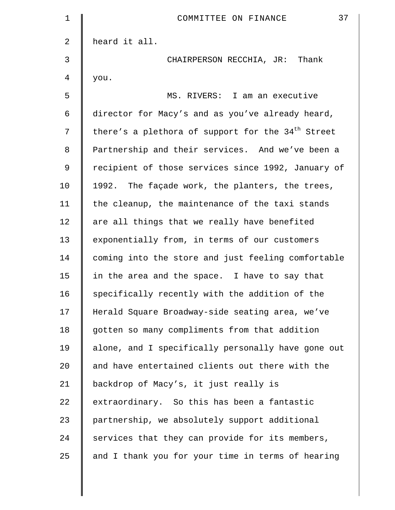| 1              | 37<br>COMMITTEE ON FINANCE                                    |
|----------------|---------------------------------------------------------------|
| 2              | heard it all.                                                 |
| 3              | CHAIRPERSON RECCHIA, JR: Thank                                |
| $\overline{4}$ | you.                                                          |
| 5              | MS. RIVERS: I am an executive                                 |
| 6              | director for Macy's and as you've already heard,              |
| 7              | there's a plethora of support for the 34 <sup>th</sup> Street |
| 8              | Partnership and their services. And we've been a              |
| $\mathsf 9$    | recipient of those services since 1992, January of            |
| 10             | 1992. The façade work, the planters, the trees,               |
| 11             | the cleanup, the maintenance of the taxi stands               |
| 12             | are all things that we really have benefited                  |
| 13             | exponentially from, in terms of our customers                 |
| 14             | coming into the store and just feeling comfortable            |
| 15             | in the area and the space. I have to say that                 |
| 16             | specifically recently with the addition of the                |
| 17             | Herald Square Broadway-side seating area, we've               |
| 18             | gotten so many compliments from that addition                 |
| 19             | alone, and I specifically personally have gone out            |
| 20             | and have entertained clients out there with the               |
| 21             | backdrop of Macy's, it just really is                         |
| 22             | extraordinary. So this has been a fantastic                   |
| 23             | partnership, we absolutely support additional                 |
| 24             | services that they can provide for its members,               |
| 25             | and I thank you for your time in terms of hearing             |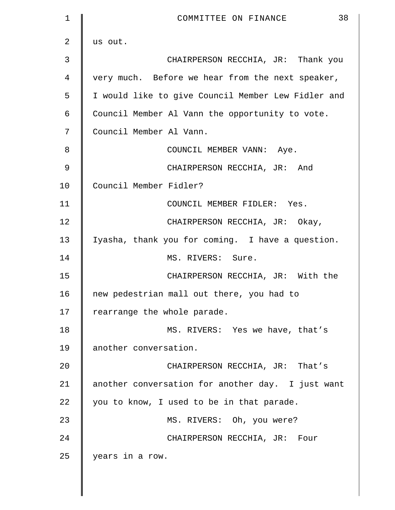| 1  | 38<br>COMMITTEE ON FINANCE                         |
|----|----------------------------------------------------|
| 2  | us out.                                            |
| 3  | CHAIRPERSON RECCHIA, JR: Thank you                 |
| 4  | very much. Before we hear from the next speaker,   |
| 5  | I would like to give Council Member Lew Fidler and |
| 6  | Council Member Al Vann the opportunity to vote.    |
| 7  | Council Member Al Vann.                            |
| 8  | COUNCIL MEMBER VANN: Aye.                          |
| 9  | CHAIRPERSON RECCHIA, JR: And                       |
| 10 | Council Member Fidler?                             |
| 11 | COUNCIL MEMBER FIDLER: Yes.                        |
| 12 | CHAIRPERSON RECCHIA, JR: Okay,                     |
| 13 | Iyasha, thank you for coming. I have a question.   |
| 14 | MS. RIVERS: Sure.                                  |
| 15 | CHAIRPERSON RECCHIA, JR: With the                  |
| 16 | new pedestrian mall out there, you had to          |
| 17 | rearrange the whole parade.                        |
| 18 | MS. RIVERS: Yes we have, that's                    |
| 19 | another conversation.                              |
| 20 | CHAIRPERSON RECCHIA, JR: That's                    |
| 21 | another conversation for another day. I just want  |
| 22 | you to know, I used to be in that parade.          |
| 23 | MS. RIVERS: Oh, you were?                          |
| 24 | CHAIRPERSON RECCHIA, JR: Four                      |
| 25 | years in a row.                                    |
|    |                                                    |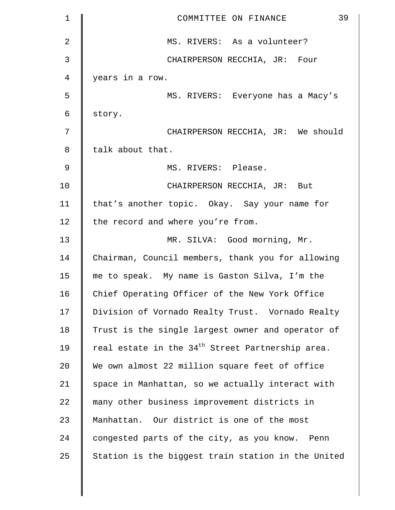| $\mathbf 1$ | 39<br>COMMITTEE ON FINANCE                                   |
|-------------|--------------------------------------------------------------|
| 2           | MS. RIVERS: As a volunteer?                                  |
| 3           | CHAIRPERSON RECCHIA, JR: Four                                |
| 4           | years in a row.                                              |
| 5           | MS. RIVERS: Everyone has a Macy's                            |
| 6           | story.                                                       |
| 7           | CHAIRPERSON RECCHIA, JR: We should                           |
| 8           | talk about that.                                             |
| 9           | MS. RIVERS: Please.                                          |
| 10          | CHAIRPERSON RECCHIA, JR: But                                 |
| 11          | that's another topic. Okay. Say your name for                |
| 12          | the record and where you're from.                            |
| 13          | MR. SILVA: Good morning, Mr.                                 |
| 14          | Chairman, Council members, thank you for allowing            |
| 15          | me to speak. My name is Gaston Silva, I'm the                |
| 16          | Chief Operating Officer of the New York Office               |
| 17          | Division of Vornado Realty Trust. Vornado Realty             |
| 18          | Trust is the single largest owner and operator of            |
| 19          | real estate in the 34 <sup>th</sup> Street Partnership area. |
| 20          | We own almost 22 million square feet of office               |
| 21          | space in Manhattan, so we actually interact with             |
| 22          | many other business improvement districts in                 |
| 23          | Manhattan. Our district is one of the most                   |
| 24          | congested parts of the city, as you know. Penn               |
| 25          | Station is the biggest train station in the United           |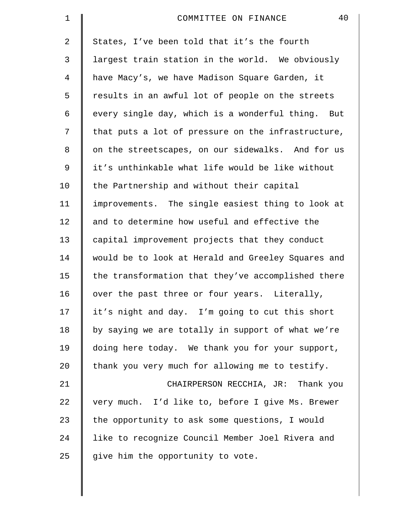| $\mathbf 1$ | 40<br>COMMITTEE ON FINANCE                         |
|-------------|----------------------------------------------------|
| 2           | States, I've been told that it's the fourth        |
| 3           | largest train station in the world. We obviously   |
| 4           | have Macy's, we have Madison Square Garden, it     |
| 5           | results in an awful lot of people on the streets   |
| 6           | every single day, which is a wonderful thing. But  |
| 7           | that puts a lot of pressure on the infrastructure, |
| 8           | on the streetscapes, on our sidewalks. And for us  |
| $\mathsf 9$ | it's unthinkable what life would be like without   |
| 10          | the Partnership and without their capital          |
| 11          | improvements. The single easiest thing to look at  |
| 12          | and to determine how useful and effective the      |
| 13          | capital improvement projects that they conduct     |
| 14          | would be to look at Herald and Greeley Squares and |
| 15          | the transformation that they've accomplished there |
| 16          | over the past three or four years. Literally,      |
| 17          | it's night and day. I'm going to cut this short    |
| 18          | by saying we are totally in support of what we're  |
| 19          | doing here today. We thank you for your support,   |
| 20          | thank you very much for allowing me to testify.    |
| 21          | CHAIRPERSON RECCHIA, JR: Thank you                 |
| 22          | very much. I'd like to, before I give Ms. Brewer   |
| 23          | the opportunity to ask some questions, I would     |
| 24          | like to recognize Council Member Joel Rivera and   |
| 25          | give him the opportunity to vote.                  |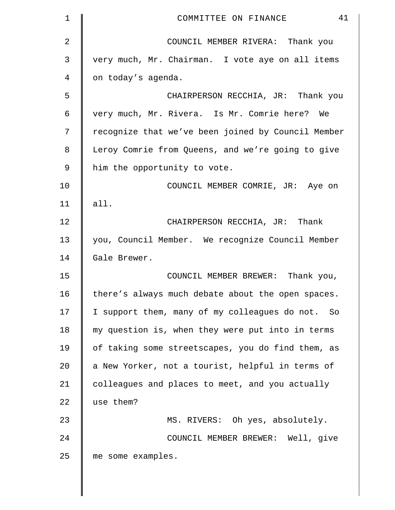| 1              | 41<br>COMMITTEE ON FINANCE                         |
|----------------|----------------------------------------------------|
| $\overline{a}$ | COUNCIL MEMBER RIVERA: Thank you                   |
| 3              | very much, Mr. Chairman. I vote aye on all items   |
| 4              | on today's agenda.                                 |
| 5              | CHAIRPERSON RECCHIA, JR: Thank you                 |
| 6              | very much, Mr. Rivera. Is Mr. Comrie here? We      |
| 7              | recognize that we've been joined by Council Member |
| 8              | Leroy Comrie from Queens, and we're going to give  |
| 9              | him the opportunity to vote.                       |
| 10             | COUNCIL MEMBER COMRIE, JR: Aye on                  |
| 11             | all.                                               |
| 12             | CHAIRPERSON RECCHIA, JR: Thank                     |
| 13             | you, Council Member. We recognize Council Member   |
| 14             | Gale Brewer.                                       |
| 15             | COUNCIL MEMBER BREWER: Thank you,                  |
| 16             | there's always much debate about the open spaces.  |
| 17             | I support them, many of my colleagues do not. So   |
| 18             | my question is, when they were put into in terms   |
| 19             | of taking some streetscapes, you do find them, as  |
| 20             | a New Yorker, not a tourist, helpful in terms of   |
| 21             | colleagues and places to meet, and you actually    |
| 22             | use them?                                          |
| 23             | MS. RIVERS: Oh yes, absolutely.                    |
| 24             | COUNCIL MEMBER BREWER: Well, give                  |
| 25             | me some examples.                                  |
|                |                                                    |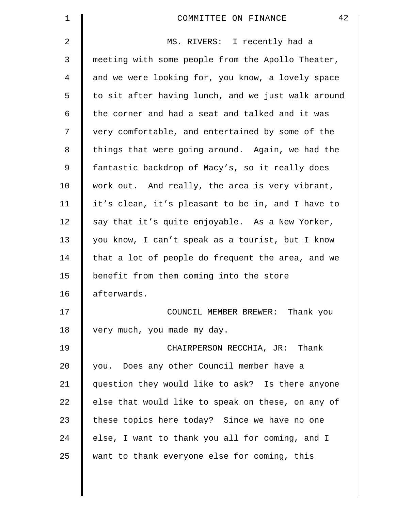| $\mathbf 1$    | 42<br>COMMITTEE ON FINANCE                         |
|----------------|----------------------------------------------------|
| $\overline{a}$ | MS. RIVERS: I recently had a                       |
| 3              | meeting with some people from the Apollo Theater,  |
| $\overline{4}$ | and we were looking for, you know, a lovely space  |
| 5              | to sit after having lunch, and we just walk around |
| 6              | the corner and had a seat and talked and it was    |
| 7              | very comfortable, and entertained by some of the   |
| 8              | things that were going around. Again, we had the   |
| 9              | fantastic backdrop of Macy's, so it really does    |
| 10             | work out. And really, the area is very vibrant,    |
| 11             | it's clean, it's pleasant to be in, and I have to  |
| 12             | say that it's quite enjoyable. As a New Yorker,    |
| 13             | you know, I can't speak as a tourist, but I know   |
| 14             | that a lot of people do frequent the area, and we  |
| 15             | benefit from them coming into the store            |
| 16             | afterwards.                                        |
| 17             | COUNCIL MEMBER BREWER: Thank you                   |
| 18             | very much, you made my day.                        |
| 19             | CHAIRPERSON RECCHIA, JR: Thank                     |
| 20             | you. Does any other Council member have a          |
| 21             | question they would like to ask? Is there anyone   |
| 22             | else that would like to speak on these, on any of  |
| 23             | these topics here today? Since we have no one      |
| 24             | else, I want to thank you all for coming, and I    |
| 25             | want to thank everyone else for coming, this       |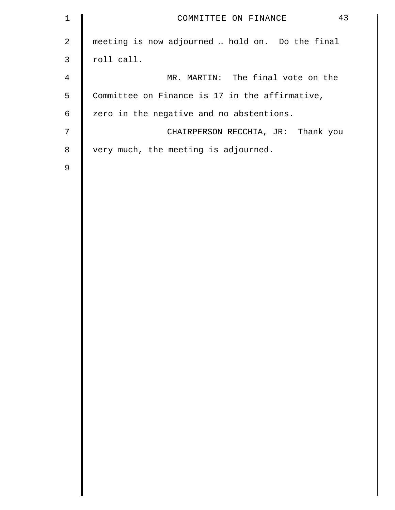| $\mathbf 1$    | 43<br>COMMITTEE ON FINANCE                      |
|----------------|-------------------------------------------------|
| $\overline{2}$ | meeting is now adjourned  hold on. Do the final |
| $\mathsf{3}$   | roll call.                                      |
| $\overline{4}$ | MR. MARTIN: The final vote on the               |
| 5              | Committee on Finance is 17 in the affirmative,  |
| 6              | zero in the negative and no abstentions.        |
| 7              | CHAIRPERSON RECCHIA, JR: Thank you              |
| 8              | very much, the meeting is adjourned.            |
| 9              |                                                 |
|                |                                                 |
|                |                                                 |
|                |                                                 |
|                |                                                 |
|                |                                                 |
|                |                                                 |
|                |                                                 |
|                |                                                 |
|                |                                                 |
|                |                                                 |
|                |                                                 |
|                |                                                 |
|                |                                                 |
|                |                                                 |
|                |                                                 |
|                |                                                 |
|                |                                                 |
|                |                                                 |